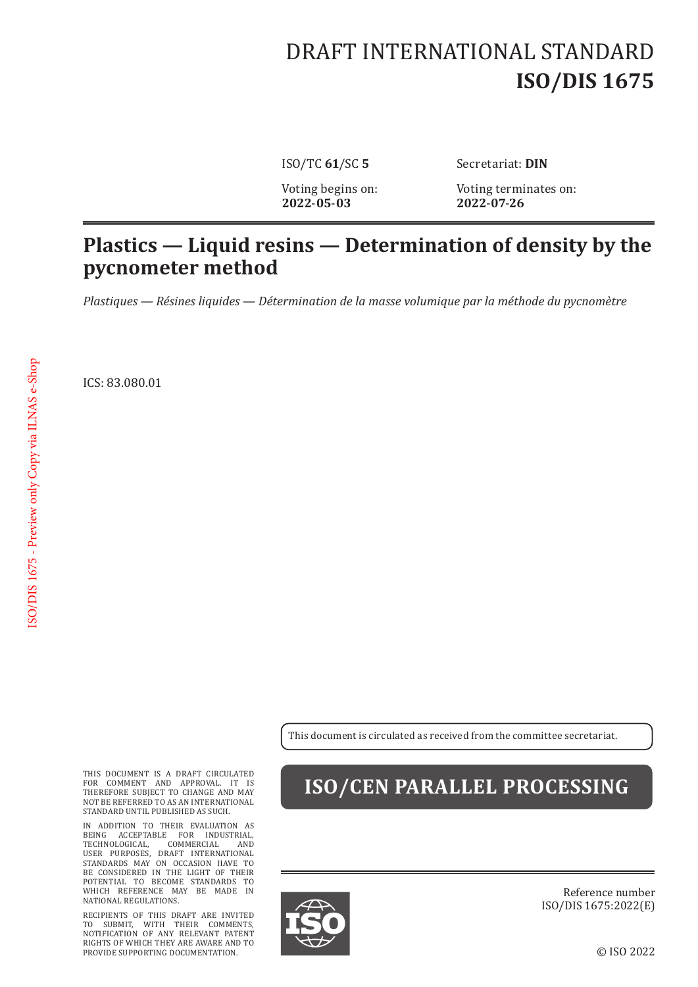# DRAFT INTERNATIONAL STANDARD **ISO/DIS 1675**

**2022**-**05**-**03 2022**-**07**-**26**

ISO/TC **61**/SC **5** Secretariat: **DIN**

Voting begins on: Voting terminates on:<br>2022-05-03 2022-07-26

#### **Plastics — Liquid resins — Determination of density by the pycnometer method**

*Plastiques — Résines liquides — Détermination de la masse volumique par la méthode du pycnomètre*

ICS: 83.080.01

This document is circulated as received from the committee secretariat.

THIS DOCUMENT IS A DRAFT CIRCULATED FOR COMMENT AND APPROVAL. IT IS THEREFORE SUBJECT TO CHANGE AND MAY NOT BE REFERRED TO AS AN INTERNATIONAL STANDARD UNTIL PUBLISHED AS SUCH.

IN ADDITION TO THEIR EVALUATION AS BEING ACCEPTABLE FOR INDUSTRIAL, TECHNOLOGICAL, COMMERCIAL AND USER PURPOSES, DRAFT INTERNATIONAL STANDARDS MAY ON OCCASION HAVE TO BE CONSIDERED IN THE LIGHT OF THEIR POTENTIAL TO BECOME STANDARDS TO WHICH REFERENCE MAY BE MADE IN NATIONAL REGULATIONS.

RECIPIENTS OF THIS DRAFT ARE INVITED TO SUBMIT, WITH THEIR COMMENTS, NOTIFICATION OF ANY RELEVANT PATENT RIGHTS OF WHICH THEY ARE AWARE AND TO PROVIDE SUPPORTING DOCUMENTATION.

### **ISO/CEN PARALLEL PROCESSING**



Reference number ISO/DIS 1675:2022(E)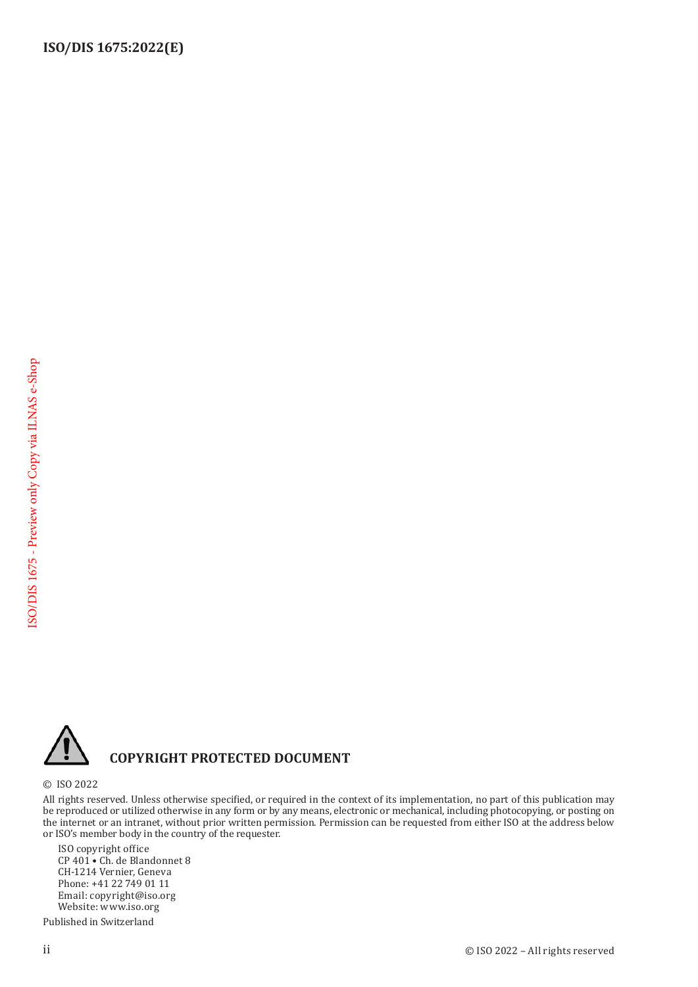

#### **COPYRIGHT PROTECTED DOCUMENT**

© ISO 2022

All rights reserved. Unless otherwise specified, or required in the context of its implementation, no part of this publication may be reproduced or utilized otherwise in any form or by any means, electronic or mechanical, including photocopying, or posting on the internet or an intranet, without prior written permission. Permission can be requested from either ISO at the address below or ISO's member body in the country of the requester.

ISO copyright office CP 401 • Ch. de Blandonnet 8 CH-1214 Vernier, Geneva Phone: +41 22 749 01 11 Email: copyright@iso.org Website: www.iso.org

Published in Switzerland